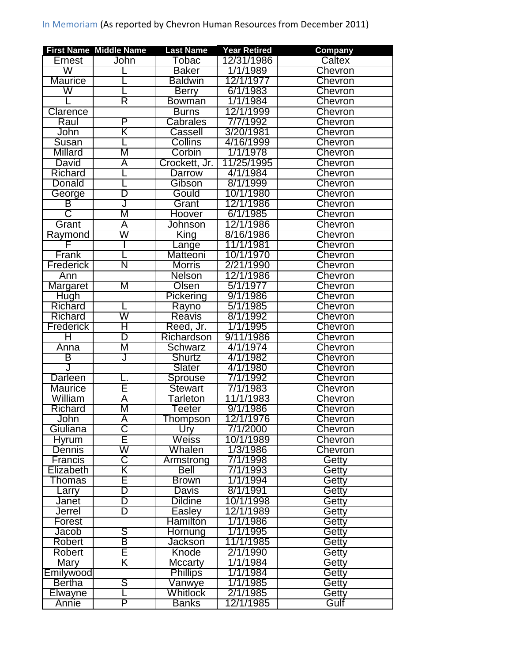| Tobac<br>Caltex<br>John<br>12/31/1986<br>Ernest<br>W<br>1/1/1989<br><b>Chevron</b><br><b>Baker</b><br><b>Baldwin</b><br>12/1/1977<br><b>Maurice</b><br><b>Chevron</b><br>W<br>6/1/1983<br><b>Chevron</b><br><b>Berry</b><br>R<br>1/1/1984<br><b>Chevron</b><br><b>Bowman</b><br>Clarence<br>12/1/1999<br><b>Burns</b><br><b>Chevron</b><br>Cabrales<br>P<br>7/7/1992<br><b>Chevron</b><br>Raul<br>John<br>K<br>Cassell<br>3/20/1981<br>Chevron<br>Susan<br>Collins<br>4/16/1999<br>Chevron<br><b>Millard</b><br>M<br>Corbin<br>1/1/1978<br><b>Chevron</b><br>11/25/1995<br>David<br>Crockett, Jr.<br>A<br><b>Chevron</b><br>Richard<br>4/1/1984<br><b>Darrow</b><br>Chevron<br>Gibson<br>8/1/1999<br><b>Chevron</b><br>Donald<br>D<br>10/1/1980<br>Gould<br>Chevron<br>George<br>В<br>12/1/1986<br>Chevron<br>Grant<br>J<br>$\overline{\mathsf{C}}$<br>М<br>Chevron<br>6/1/1985<br><b>Hoover</b><br>12/1/1986<br><b>Chevron</b><br>Grant<br>Ā<br>Johnson<br>W<br>8/16/1986<br><b>Chevron</b><br>Raymond<br>King<br>Chevron<br>11/1/1981<br>_ange<br>Frank<br>Matteoni<br>10/1/1970<br><b>Chevron</b><br>Ñ<br>2/21/1990<br>Frederick<br><b>Morris</b><br>Chevron<br><b>Nelson</b><br>12/1/1986<br>Chevron<br>Ann<br>Μ<br>Olsen<br>5/1/1977<br>Margaret<br>Chevron<br><b>Hugh</b><br>9/1/1986<br>Pickering<br>Chevron<br>5/1/1985<br><b>Richard</b><br>Rayno<br><b>Chevron</b><br>W<br>Richard<br>Reavis<br>8/1/1992<br><b>Chevron</b><br>Η<br><b>Frederick</b><br>Reed, Jr.<br>1/1/1995<br><b>Chevron</b><br>D<br>Richardson<br>9/11/1986<br>Ħ<br><b>Chevron</b><br>Μ<br><b>Schwarz</b><br>4/1/1974<br><b>Chevron</b><br>Anna<br>4/1/1982<br>B<br><b>Shurtz</b><br><b>Chevron</b><br>J<br>Slater<br>4/1/1980<br>Chevron<br><b>Darleen</b><br>/1992<br>Sprouse<br>771<br>Chevron<br>Ē<br>7/1/1983<br><b>Maurice</b><br><b>Stewart</b><br>Chevron<br>Tarleton<br>11/1/1983<br>William<br>A<br>Chevron<br>M<br>9/1/1986<br>Richard<br>Chevron<br>Teeter<br>Ā<br>12/1/1976<br><b>Chevron</b><br>John<br>Thompson<br>ਣ<br>Giuliana<br>Ury<br>7/1/2000<br>Chevron<br>E<br><b>Weiss</b><br>10/1/1989<br>Chevron<br><b>Hyrum</b><br>W<br>Whalen<br>1/3/1986<br><b>Dennis</b><br>Chevron<br>$\overline{\texttt{C}}$<br>7/1/1998<br>Getty<br><b>Francis</b><br>Armstrong | Company | <b>Year Retired</b> | <b>Last Name</b> | <b>First Name Middle Name</b> |                |
|---------------------------------------------------------------------------------------------------------------------------------------------------------------------------------------------------------------------------------------------------------------------------------------------------------------------------------------------------------------------------------------------------------------------------------------------------------------------------------------------------------------------------------------------------------------------------------------------------------------------------------------------------------------------------------------------------------------------------------------------------------------------------------------------------------------------------------------------------------------------------------------------------------------------------------------------------------------------------------------------------------------------------------------------------------------------------------------------------------------------------------------------------------------------------------------------------------------------------------------------------------------------------------------------------------------------------------------------------------------------------------------------------------------------------------------------------------------------------------------------------------------------------------------------------------------------------------------------------------------------------------------------------------------------------------------------------------------------------------------------------------------------------------------------------------------------------------------------------------------------------------------------------------------------------------------------------------------------------------------------------------------------------------------------------------------------------------------------------------------------------------------------------------------------------------------------------------------------------------------------------------------|---------|---------------------|------------------|-------------------------------|----------------|
|                                                                                                                                                                                                                                                                                                                                                                                                                                                                                                                                                                                                                                                                                                                                                                                                                                                                                                                                                                                                                                                                                                                                                                                                                                                                                                                                                                                                                                                                                                                                                                                                                                                                                                                                                                                                                                                                                                                                                                                                                                                                                                                                                                                                                                                               |         |                     |                  |                               |                |
|                                                                                                                                                                                                                                                                                                                                                                                                                                                                                                                                                                                                                                                                                                                                                                                                                                                                                                                                                                                                                                                                                                                                                                                                                                                                                                                                                                                                                                                                                                                                                                                                                                                                                                                                                                                                                                                                                                                                                                                                                                                                                                                                                                                                                                                               |         |                     |                  |                               |                |
|                                                                                                                                                                                                                                                                                                                                                                                                                                                                                                                                                                                                                                                                                                                                                                                                                                                                                                                                                                                                                                                                                                                                                                                                                                                                                                                                                                                                                                                                                                                                                                                                                                                                                                                                                                                                                                                                                                                                                                                                                                                                                                                                                                                                                                                               |         |                     |                  |                               |                |
|                                                                                                                                                                                                                                                                                                                                                                                                                                                                                                                                                                                                                                                                                                                                                                                                                                                                                                                                                                                                                                                                                                                                                                                                                                                                                                                                                                                                                                                                                                                                                                                                                                                                                                                                                                                                                                                                                                                                                                                                                                                                                                                                                                                                                                                               |         |                     |                  |                               |                |
|                                                                                                                                                                                                                                                                                                                                                                                                                                                                                                                                                                                                                                                                                                                                                                                                                                                                                                                                                                                                                                                                                                                                                                                                                                                                                                                                                                                                                                                                                                                                                                                                                                                                                                                                                                                                                                                                                                                                                                                                                                                                                                                                                                                                                                                               |         |                     |                  |                               |                |
|                                                                                                                                                                                                                                                                                                                                                                                                                                                                                                                                                                                                                                                                                                                                                                                                                                                                                                                                                                                                                                                                                                                                                                                                                                                                                                                                                                                                                                                                                                                                                                                                                                                                                                                                                                                                                                                                                                                                                                                                                                                                                                                                                                                                                                                               |         |                     |                  |                               |                |
|                                                                                                                                                                                                                                                                                                                                                                                                                                                                                                                                                                                                                                                                                                                                                                                                                                                                                                                                                                                                                                                                                                                                                                                                                                                                                                                                                                                                                                                                                                                                                                                                                                                                                                                                                                                                                                                                                                                                                                                                                                                                                                                                                                                                                                                               |         |                     |                  |                               |                |
|                                                                                                                                                                                                                                                                                                                                                                                                                                                                                                                                                                                                                                                                                                                                                                                                                                                                                                                                                                                                                                                                                                                                                                                                                                                                                                                                                                                                                                                                                                                                                                                                                                                                                                                                                                                                                                                                                                                                                                                                                                                                                                                                                                                                                                                               |         |                     |                  |                               |                |
|                                                                                                                                                                                                                                                                                                                                                                                                                                                                                                                                                                                                                                                                                                                                                                                                                                                                                                                                                                                                                                                                                                                                                                                                                                                                                                                                                                                                                                                                                                                                                                                                                                                                                                                                                                                                                                                                                                                                                                                                                                                                                                                                                                                                                                                               |         |                     |                  |                               |                |
|                                                                                                                                                                                                                                                                                                                                                                                                                                                                                                                                                                                                                                                                                                                                                                                                                                                                                                                                                                                                                                                                                                                                                                                                                                                                                                                                                                                                                                                                                                                                                                                                                                                                                                                                                                                                                                                                                                                                                                                                                                                                                                                                                                                                                                                               |         |                     |                  |                               |                |
|                                                                                                                                                                                                                                                                                                                                                                                                                                                                                                                                                                                                                                                                                                                                                                                                                                                                                                                                                                                                                                                                                                                                                                                                                                                                                                                                                                                                                                                                                                                                                                                                                                                                                                                                                                                                                                                                                                                                                                                                                                                                                                                                                                                                                                                               |         |                     |                  |                               |                |
|                                                                                                                                                                                                                                                                                                                                                                                                                                                                                                                                                                                                                                                                                                                                                                                                                                                                                                                                                                                                                                                                                                                                                                                                                                                                                                                                                                                                                                                                                                                                                                                                                                                                                                                                                                                                                                                                                                                                                                                                                                                                                                                                                                                                                                                               |         |                     |                  |                               |                |
|                                                                                                                                                                                                                                                                                                                                                                                                                                                                                                                                                                                                                                                                                                                                                                                                                                                                                                                                                                                                                                                                                                                                                                                                                                                                                                                                                                                                                                                                                                                                                                                                                                                                                                                                                                                                                                                                                                                                                                                                                                                                                                                                                                                                                                                               |         |                     |                  |                               |                |
|                                                                                                                                                                                                                                                                                                                                                                                                                                                                                                                                                                                                                                                                                                                                                                                                                                                                                                                                                                                                                                                                                                                                                                                                                                                                                                                                                                                                                                                                                                                                                                                                                                                                                                                                                                                                                                                                                                                                                                                                                                                                                                                                                                                                                                                               |         |                     |                  |                               |                |
|                                                                                                                                                                                                                                                                                                                                                                                                                                                                                                                                                                                                                                                                                                                                                                                                                                                                                                                                                                                                                                                                                                                                                                                                                                                                                                                                                                                                                                                                                                                                                                                                                                                                                                                                                                                                                                                                                                                                                                                                                                                                                                                                                                                                                                                               |         |                     |                  |                               |                |
|                                                                                                                                                                                                                                                                                                                                                                                                                                                                                                                                                                                                                                                                                                                                                                                                                                                                                                                                                                                                                                                                                                                                                                                                                                                                                                                                                                                                                                                                                                                                                                                                                                                                                                                                                                                                                                                                                                                                                                                                                                                                                                                                                                                                                                                               |         |                     |                  |                               |                |
|                                                                                                                                                                                                                                                                                                                                                                                                                                                                                                                                                                                                                                                                                                                                                                                                                                                                                                                                                                                                                                                                                                                                                                                                                                                                                                                                                                                                                                                                                                                                                                                                                                                                                                                                                                                                                                                                                                                                                                                                                                                                                                                                                                                                                                                               |         |                     |                  |                               |                |
|                                                                                                                                                                                                                                                                                                                                                                                                                                                                                                                                                                                                                                                                                                                                                                                                                                                                                                                                                                                                                                                                                                                                                                                                                                                                                                                                                                                                                                                                                                                                                                                                                                                                                                                                                                                                                                                                                                                                                                                                                                                                                                                                                                                                                                                               |         |                     |                  |                               |                |
|                                                                                                                                                                                                                                                                                                                                                                                                                                                                                                                                                                                                                                                                                                                                                                                                                                                                                                                                                                                                                                                                                                                                                                                                                                                                                                                                                                                                                                                                                                                                                                                                                                                                                                                                                                                                                                                                                                                                                                                                                                                                                                                                                                                                                                                               |         |                     |                  |                               |                |
|                                                                                                                                                                                                                                                                                                                                                                                                                                                                                                                                                                                                                                                                                                                                                                                                                                                                                                                                                                                                                                                                                                                                                                                                                                                                                                                                                                                                                                                                                                                                                                                                                                                                                                                                                                                                                                                                                                                                                                                                                                                                                                                                                                                                                                                               |         |                     |                  |                               |                |
|                                                                                                                                                                                                                                                                                                                                                                                                                                                                                                                                                                                                                                                                                                                                                                                                                                                                                                                                                                                                                                                                                                                                                                                                                                                                                                                                                                                                                                                                                                                                                                                                                                                                                                                                                                                                                                                                                                                                                                                                                                                                                                                                                                                                                                                               |         |                     |                  |                               |                |
|                                                                                                                                                                                                                                                                                                                                                                                                                                                                                                                                                                                                                                                                                                                                                                                                                                                                                                                                                                                                                                                                                                                                                                                                                                                                                                                                                                                                                                                                                                                                                                                                                                                                                                                                                                                                                                                                                                                                                                                                                                                                                                                                                                                                                                                               |         |                     |                  |                               |                |
|                                                                                                                                                                                                                                                                                                                                                                                                                                                                                                                                                                                                                                                                                                                                                                                                                                                                                                                                                                                                                                                                                                                                                                                                                                                                                                                                                                                                                                                                                                                                                                                                                                                                                                                                                                                                                                                                                                                                                                                                                                                                                                                                                                                                                                                               |         |                     |                  |                               |                |
|                                                                                                                                                                                                                                                                                                                                                                                                                                                                                                                                                                                                                                                                                                                                                                                                                                                                                                                                                                                                                                                                                                                                                                                                                                                                                                                                                                                                                                                                                                                                                                                                                                                                                                                                                                                                                                                                                                                                                                                                                                                                                                                                                                                                                                                               |         |                     |                  |                               |                |
|                                                                                                                                                                                                                                                                                                                                                                                                                                                                                                                                                                                                                                                                                                                                                                                                                                                                                                                                                                                                                                                                                                                                                                                                                                                                                                                                                                                                                                                                                                                                                                                                                                                                                                                                                                                                                                                                                                                                                                                                                                                                                                                                                                                                                                                               |         |                     |                  |                               |                |
|                                                                                                                                                                                                                                                                                                                                                                                                                                                                                                                                                                                                                                                                                                                                                                                                                                                                                                                                                                                                                                                                                                                                                                                                                                                                                                                                                                                                                                                                                                                                                                                                                                                                                                                                                                                                                                                                                                                                                                                                                                                                                                                                                                                                                                                               |         |                     |                  |                               |                |
|                                                                                                                                                                                                                                                                                                                                                                                                                                                                                                                                                                                                                                                                                                                                                                                                                                                                                                                                                                                                                                                                                                                                                                                                                                                                                                                                                                                                                                                                                                                                                                                                                                                                                                                                                                                                                                                                                                                                                                                                                                                                                                                                                                                                                                                               |         |                     |                  |                               |                |
|                                                                                                                                                                                                                                                                                                                                                                                                                                                                                                                                                                                                                                                                                                                                                                                                                                                                                                                                                                                                                                                                                                                                                                                                                                                                                                                                                                                                                                                                                                                                                                                                                                                                                                                                                                                                                                                                                                                                                                                                                                                                                                                                                                                                                                                               |         |                     |                  |                               |                |
|                                                                                                                                                                                                                                                                                                                                                                                                                                                                                                                                                                                                                                                                                                                                                                                                                                                                                                                                                                                                                                                                                                                                                                                                                                                                                                                                                                                                                                                                                                                                                                                                                                                                                                                                                                                                                                                                                                                                                                                                                                                                                                                                                                                                                                                               |         |                     |                  |                               |                |
|                                                                                                                                                                                                                                                                                                                                                                                                                                                                                                                                                                                                                                                                                                                                                                                                                                                                                                                                                                                                                                                                                                                                                                                                                                                                                                                                                                                                                                                                                                                                                                                                                                                                                                                                                                                                                                                                                                                                                                                                                                                                                                                                                                                                                                                               |         |                     |                  |                               |                |
|                                                                                                                                                                                                                                                                                                                                                                                                                                                                                                                                                                                                                                                                                                                                                                                                                                                                                                                                                                                                                                                                                                                                                                                                                                                                                                                                                                                                                                                                                                                                                                                                                                                                                                                                                                                                                                                                                                                                                                                                                                                                                                                                                                                                                                                               |         |                     |                  |                               |                |
|                                                                                                                                                                                                                                                                                                                                                                                                                                                                                                                                                                                                                                                                                                                                                                                                                                                                                                                                                                                                                                                                                                                                                                                                                                                                                                                                                                                                                                                                                                                                                                                                                                                                                                                                                                                                                                                                                                                                                                                                                                                                                                                                                                                                                                                               |         |                     |                  |                               |                |
|                                                                                                                                                                                                                                                                                                                                                                                                                                                                                                                                                                                                                                                                                                                                                                                                                                                                                                                                                                                                                                                                                                                                                                                                                                                                                                                                                                                                                                                                                                                                                                                                                                                                                                                                                                                                                                                                                                                                                                                                                                                                                                                                                                                                                                                               |         |                     |                  |                               |                |
|                                                                                                                                                                                                                                                                                                                                                                                                                                                                                                                                                                                                                                                                                                                                                                                                                                                                                                                                                                                                                                                                                                                                                                                                                                                                                                                                                                                                                                                                                                                                                                                                                                                                                                                                                                                                                                                                                                                                                                                                                                                                                                                                                                                                                                                               |         |                     |                  |                               |                |
|                                                                                                                                                                                                                                                                                                                                                                                                                                                                                                                                                                                                                                                                                                                                                                                                                                                                                                                                                                                                                                                                                                                                                                                                                                                                                                                                                                                                                                                                                                                                                                                                                                                                                                                                                                                                                                                                                                                                                                                                                                                                                                                                                                                                                                                               |         |                     |                  |                               |                |
|                                                                                                                                                                                                                                                                                                                                                                                                                                                                                                                                                                                                                                                                                                                                                                                                                                                                                                                                                                                                                                                                                                                                                                                                                                                                                                                                                                                                                                                                                                                                                                                                                                                                                                                                                                                                                                                                                                                                                                                                                                                                                                                                                                                                                                                               |         |                     |                  |                               |                |
|                                                                                                                                                                                                                                                                                                                                                                                                                                                                                                                                                                                                                                                                                                                                                                                                                                                                                                                                                                                                                                                                                                                                                                                                                                                                                                                                                                                                                                                                                                                                                                                                                                                                                                                                                                                                                                                                                                                                                                                                                                                                                                                                                                                                                                                               |         |                     |                  |                               |                |
|                                                                                                                                                                                                                                                                                                                                                                                                                                                                                                                                                                                                                                                                                                                                                                                                                                                                                                                                                                                                                                                                                                                                                                                                                                                                                                                                                                                                                                                                                                                                                                                                                                                                                                                                                                                                                                                                                                                                                                                                                                                                                                                                                                                                                                                               |         |                     |                  |                               |                |
|                                                                                                                                                                                                                                                                                                                                                                                                                                                                                                                                                                                                                                                                                                                                                                                                                                                                                                                                                                                                                                                                                                                                                                                                                                                                                                                                                                                                                                                                                                                                                                                                                                                                                                                                                                                                                                                                                                                                                                                                                                                                                                                                                                                                                                                               |         |                     |                  |                               |                |
|                                                                                                                                                                                                                                                                                                                                                                                                                                                                                                                                                                                                                                                                                                                                                                                                                                                                                                                                                                                                                                                                                                                                                                                                                                                                                                                                                                                                                                                                                                                                                                                                                                                                                                                                                                                                                                                                                                                                                                                                                                                                                                                                                                                                                                                               |         |                     |                  |                               |                |
|                                                                                                                                                                                                                                                                                                                                                                                                                                                                                                                                                                                                                                                                                                                                                                                                                                                                                                                                                                                                                                                                                                                                                                                                                                                                                                                                                                                                                                                                                                                                                                                                                                                                                                                                                                                                                                                                                                                                                                                                                                                                                                                                                                                                                                                               |         |                     |                  |                               |                |
|                                                                                                                                                                                                                                                                                                                                                                                                                                                                                                                                                                                                                                                                                                                                                                                                                                                                                                                                                                                                                                                                                                                                                                                                                                                                                                                                                                                                                                                                                                                                                                                                                                                                                                                                                                                                                                                                                                                                                                                                                                                                                                                                                                                                                                                               | Getty   | 7/1/1993            | Bell             | Κ                             | Elizabeth      |
| E<br>1/1/1994<br>Getty<br><b>Brown</b><br>Thomas                                                                                                                                                                                                                                                                                                                                                                                                                                                                                                                                                                                                                                                                                                                                                                                                                                                                                                                                                                                                                                                                                                                                                                                                                                                                                                                                                                                                                                                                                                                                                                                                                                                                                                                                                                                                                                                                                                                                                                                                                                                                                                                                                                                                              |         |                     |                  |                               |                |
| D<br><b>Davis</b><br>8/1/1991<br>Getty<br>Larry                                                                                                                                                                                                                                                                                                                                                                                                                                                                                                                                                                                                                                                                                                                                                                                                                                                                                                                                                                                                                                                                                                                                                                                                                                                                                                                                                                                                                                                                                                                                                                                                                                                                                                                                                                                                                                                                                                                                                                                                                                                                                                                                                                                                               |         |                     |                  |                               |                |
| D<br><b>Dildine</b><br>10/1/1998<br>Getty<br>Janet                                                                                                                                                                                                                                                                                                                                                                                                                                                                                                                                                                                                                                                                                                                                                                                                                                                                                                                                                                                                                                                                                                                                                                                                                                                                                                                                                                                                                                                                                                                                                                                                                                                                                                                                                                                                                                                                                                                                                                                                                                                                                                                                                                                                            |         |                     |                  |                               |                |
| D<br>Easley<br>12/1/1989<br>Getty<br><b>Jerrel</b>                                                                                                                                                                                                                                                                                                                                                                                                                                                                                                                                                                                                                                                                                                                                                                                                                                                                                                                                                                                                                                                                                                                                                                                                                                                                                                                                                                                                                                                                                                                                                                                                                                                                                                                                                                                                                                                                                                                                                                                                                                                                                                                                                                                                            |         |                     |                  |                               |                |
| 1/1/1986<br>Hamilton<br>Forest<br>Getty                                                                                                                                                                                                                                                                                                                                                                                                                                                                                                                                                                                                                                                                                                                                                                                                                                                                                                                                                                                                                                                                                                                                                                                                                                                                                                                                                                                                                                                                                                                                                                                                                                                                                                                                                                                                                                                                                                                                                                                                                                                                                                                                                                                                                       |         |                     |                  |                               |                |
| S<br>1/1/1995<br>Jacob<br>Hornung<br>Getty                                                                                                                                                                                                                                                                                                                                                                                                                                                                                                                                                                                                                                                                                                                                                                                                                                                                                                                                                                                                                                                                                                                                                                                                                                                                                                                                                                                                                                                                                                                                                                                                                                                                                                                                                                                                                                                                                                                                                                                                                                                                                                                                                                                                                    |         |                     |                  |                               |                |
| $\overline{\mathsf{B}}$<br>11/1/1985<br>Robert<br><b>Jackson</b><br>Getty                                                                                                                                                                                                                                                                                                                                                                                                                                                                                                                                                                                                                                                                                                                                                                                                                                                                                                                                                                                                                                                                                                                                                                                                                                                                                                                                                                                                                                                                                                                                                                                                                                                                                                                                                                                                                                                                                                                                                                                                                                                                                                                                                                                     |         |                     |                  |                               |                |
| E<br>Knode<br>2/1/1990<br>Robert<br>Getty                                                                                                                                                                                                                                                                                                                                                                                                                                                                                                                                                                                                                                                                                                                                                                                                                                                                                                                                                                                                                                                                                                                                                                                                                                                                                                                                                                                                                                                                                                                                                                                                                                                                                                                                                                                                                                                                                                                                                                                                                                                                                                                                                                                                                     |         |                     |                  |                               |                |
| Κ<br>1/1/1984<br><b>Mary</b><br><b>Mccarty</b><br>Getty                                                                                                                                                                                                                                                                                                                                                                                                                                                                                                                                                                                                                                                                                                                                                                                                                                                                                                                                                                                                                                                                                                                                                                                                                                                                                                                                                                                                                                                                                                                                                                                                                                                                                                                                                                                                                                                                                                                                                                                                                                                                                                                                                                                                       |         |                     |                  |                               |                |
| Emilywood<br><b>Phillips</b><br>1/1/1984<br>Getty                                                                                                                                                                                                                                                                                                                                                                                                                                                                                                                                                                                                                                                                                                                                                                                                                                                                                                                                                                                                                                                                                                                                                                                                                                                                                                                                                                                                                                                                                                                                                                                                                                                                                                                                                                                                                                                                                                                                                                                                                                                                                                                                                                                                             |         |                     |                  |                               |                |
| S<br>1/1/1985<br><b>Bertha</b><br>Vanwye<br>Getty                                                                                                                                                                                                                                                                                                                                                                                                                                                                                                                                                                                                                                                                                                                                                                                                                                                                                                                                                                                                                                                                                                                                                                                                                                                                                                                                                                                                                                                                                                                                                                                                                                                                                                                                                                                                                                                                                                                                                                                                                                                                                                                                                                                                             |         |                     |                  |                               |                |
|                                                                                                                                                                                                                                                                                                                                                                                                                                                                                                                                                                                                                                                                                                                                                                                                                                                                                                                                                                                                                                                                                                                                                                                                                                                                                                                                                                                                                                                                                                                                                                                                                                                                                                                                                                                                                                                                                                                                                                                                                                                                                                                                                                                                                                                               |         |                     | Whitlock         |                               | <b>Elwayne</b> |
| 2/1/1985<br>Getty                                                                                                                                                                                                                                                                                                                                                                                                                                                                                                                                                                                                                                                                                                                                                                                                                                                                                                                                                                                                                                                                                                                                                                                                                                                                                                                                                                                                                                                                                                                                                                                                                                                                                                                                                                                                                                                                                                                                                                                                                                                                                                                                                                                                                                             |         |                     |                  |                               |                |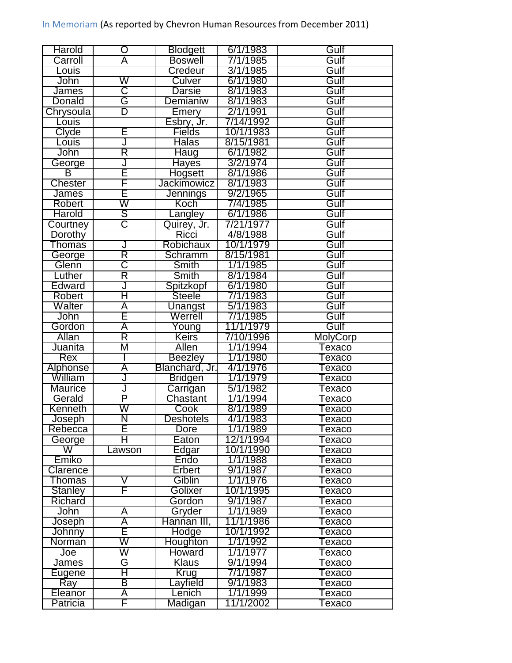| Harold              | O                            | <b>Blodgett</b>    | 6/1/1983              | Gulf            |
|---------------------|------------------------------|--------------------|-----------------------|-----------------|
| Carroll             | Ā                            | <b>Boswell</b>     | 7/1/1985              | Gulf            |
| Louis               |                              | Credeur            | 3/1/1985              | Gulf            |
| John                | W                            | Culver             | 6/1/1980              | Gulf            |
| <b>James</b>        | C                            | Darsie             | 8/1/1983              | Gulf            |
| Donald              | Ġ                            | Demianiw           | 8/1/1983              | Gulf            |
| Chrysoula           | $\overline{\mathsf{D}}$      | Emery              | 2/1/1991              | Gulf            |
| Louis               |                              | Esbry, Jr.         | 7/14/1992             | Gulf            |
| Clyde               | E                            | <b>Fields</b>      | 10/1/1983             | Gulf            |
| Louis               | J                            | <b>Halas</b>       | 8/15/1981             | Gulf            |
| John                | R                            | <b>Haug</b>        | 6/1/1982              | Gulf            |
| George              | J                            | Hayes              | 3/2/1974              | Gulf            |
| В                   | E                            | Hogsett            | 8/1/1986              | Gulf            |
| <b>Chester</b>      | F                            | <b>Jackimowicz</b> | 8/1/1983              | Gulf            |
| James               | E                            | Jennings           | 9/2/1965              | Gulf            |
| Robert              | W                            | Koch               | 7/4/1985              | Gulf            |
| Harold              | S                            | angley             | 6/1/1986              | Gulf            |
| Courtney            | $\overline{\text{C}}$        | Quirey, Jr.        | 7/21/1977             | Gulf            |
| Dorothy             |                              | <b>Ricci</b>       | 4/8/1988              | Gulf            |
| <b>Thomas</b>       | J                            | Robichaux          | 10/1/1979             | Gulf            |
| George              | Ř                            | Schramm            | 8/15/1981             | Gulf            |
| Glenn               | $\overline{\text{C}}$        | <b>Smith</b>       | 1/1/1985              | Gulf            |
| Luther              | R                            | Smith              | 8/1/1984              | Gulf            |
| Edward              | J                            | Spitzkopf          | 6/1/1980              | Gulf            |
| <b>Robert</b>       | Η                            | Steele             | 7/1/1983              | Gulf            |
| Walter              | Ā                            |                    | 5/1/1983              | Gulf            |
|                     | Ē                            | Unangst            |                       |                 |
| John                |                              | Werrell            | 7/1/1985              | Gulf            |
| Gordon              | Ā<br>$\overline{\mathsf{R}}$ | Young              | 11/1/1979             | Gulf            |
| Allan<br>Juanita    | Μ                            | Keirs<br>Allen     | 7/10/1996             | <b>MolyCorp</b> |
|                     |                              |                    | 1/1/1994              | exaco           |
| Rex                 |                              | <b>Beezley</b>     | 1/1/1980              | Texaco          |
| <b>Alphonse</b>     | Ā                            | Blanchard, Jr.     | 4/1/1976              | <b>Texaco</b>   |
| William             | J<br>J                       | Bridgen            | 1/1/1979<br>5/1/1982  | exaco           |
| <b>Maurice</b>      |                              |                    |                       |                 |
| Gerald              |                              | Carrigan           |                       | exaco           |
|                     | P                            | Chastant           | 1/1/1994              | Texaco          |
| Kenneth             | W                            | Cook               | 8/1/1989              | exaco           |
| <u>Joseph</u>       | N                            | <b>Deshotels</b>   | 4/1/1983              | Texaco          |
| Rebecca             | E                            | Dore               | 1/1/1989              | Texaco          |
| George              | н                            | Eaton              | 12/1/1994             | Texaco          |
| W                   | .awson                       | Edgar              | 10/1/1990             | Texaco          |
| Emiko               |                              | Endo               | 1/1/1988              | Texaco          |
| Clarence            |                              | Erbert             | 9/1/1987              | Texaco          |
| Thomas              | V                            | Giblin             | 1/1/1976              | Texaco          |
| <b>Stanley</b>      | F                            | Golixer            | 10/1/1995             | Texaco          |
| <b>Richard</b>      |                              | Gordon             | 9/1/1987              | Texaco          |
| John                | A                            | Gryder             | 1/1/1989              | Texaco          |
| Joseph              | Ā                            | Hannan III,        | 11/1/1986             | Texaco          |
| Johnny              | E                            | Hodge              | 10/1/1992             | Texaco          |
| Norman              | W                            | Houghton           | 1/1/1992              | Texaco          |
| Joe                 | W                            | Howard             | 1/1/1977              | Texaco          |
| James               | G                            | <b>Klaus</b>       | 9/1/1994              | Texaco          |
| Eugene              | $\overline{\mathsf{H}}$      | <b>Krug</b>        | 7/1/1987              | Texaco          |
| Ray                 | B                            | .ayfield           | 9/1/1983              | Texaco          |
| Eleanor<br>Patricia | A<br>F                       | enich.<br>Madigan  | 1/1/1999<br>11/1/2002 | Texaco          |